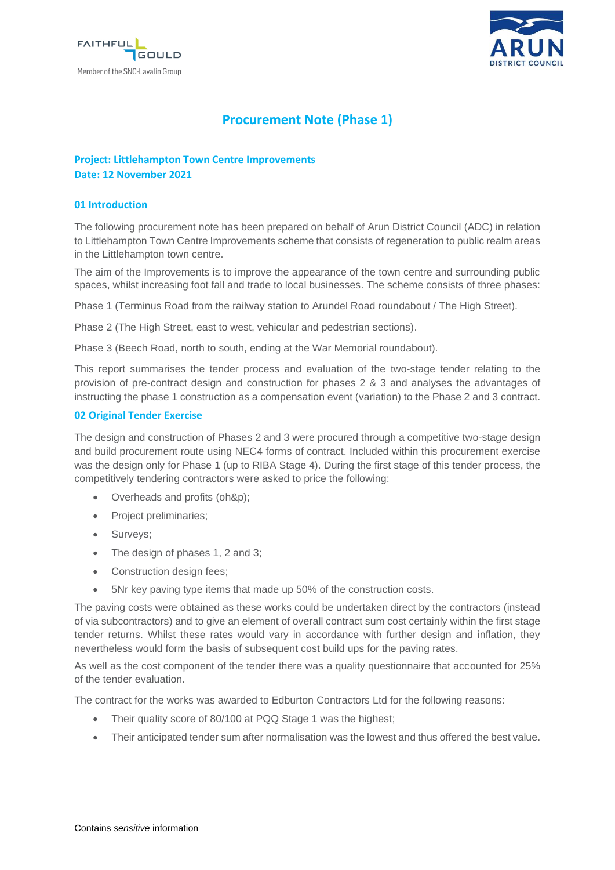



### **Procurement Note (Phase 1)**

#### **Project: Littlehampton Town Centre Improvements Date: 12 November 2021**

#### **01 Introduction**

The following procurement note has been prepared on behalf of Arun District Council (ADC) in relation to Littlehampton Town Centre Improvements scheme that consists of regeneration to public realm areas in the Littlehampton town centre.

The aim of the Improvements is to improve the appearance of the town centre and surrounding public spaces, whilst increasing foot fall and trade to local businesses. The scheme consists of three phases:

Phase 1 (Terminus Road from the railway station to Arundel Road roundabout / The High Street).

Phase 2 (The High Street, east to west, vehicular and pedestrian sections).

Phase 3 (Beech Road, north to south, ending at the War Memorial roundabout).

This report summarises the tender process and evaluation of the two-stage tender relating to the provision of pre-contract design and construction for phases 2 & 3 and analyses the advantages of instructing the phase 1 construction as a compensation event (variation) to the Phase 2 and 3 contract.

#### **02 Original Tender Exercise**

The design and construction of Phases 2 and 3 were procured through a competitive two-stage design and build procurement route using NEC4 forms of contract. Included within this procurement exercise was the design only for Phase 1 (up to RIBA Stage 4). During the first stage of this tender process, the competitively tendering contractors were asked to price the following:

- Overheads and profits (oh&p);
- Project preliminaries:
- Surveys;
- The design of phases 1, 2 and 3;
- Construction design fees;
- 5Nr key paving type items that made up 50% of the construction costs.

The paving costs were obtained as these works could be undertaken direct by the contractors (instead of via subcontractors) and to give an element of overall contract sum cost certainly within the first stage tender returns. Whilst these rates would vary in accordance with further design and inflation, they nevertheless would form the basis of subsequent cost build ups for the paving rates.

As well as the cost component of the tender there was a quality questionnaire that accounted for 25% of the tender evaluation.

The contract for the works was awarded to Edburton Contractors Ltd for the following reasons:

- Their quality score of 80/100 at PQQ Stage 1 was the highest:
- Their anticipated tender sum after normalisation was the lowest and thus offered the best value.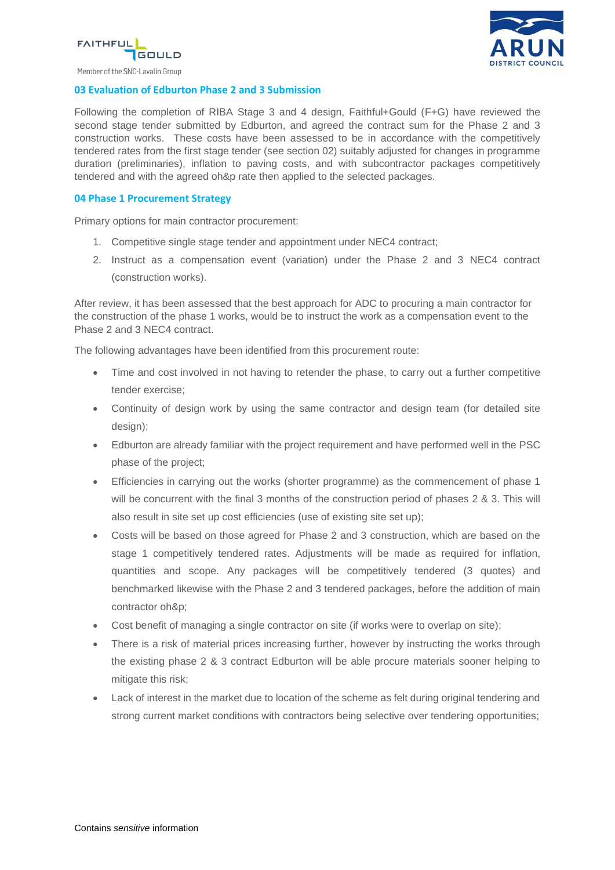



Member of the SNC-Lavalin Group

#### **03 Evaluation of Edburton Phase 2 and 3 Submission**

Following the completion of RIBA Stage 3 and 4 design, Faithful+Gould (F+G) have reviewed the second stage tender submitted by Edburton, and agreed the contract sum for the Phase 2 and 3 construction works. These costs have been assessed to be in accordance with the competitively tendered rates from the first stage tender (see section 02) suitably adjusted for changes in programme duration (preliminaries), inflation to paving costs, and with subcontractor packages competitively tendered and with the agreed oh&p rate then applied to the selected packages.

#### **04 Phase 1 Procurement Strategy**

Primary options for main contractor procurement:

- 1. Competitive single stage tender and appointment under NEC4 contract;
- 2. Instruct as a compensation event (variation) under the Phase 2 and 3 NEC4 contract (construction works).

After review, it has been assessed that the best approach for ADC to procuring a main contractor for the construction of the phase 1 works, would be to instruct the work as a compensation event to the Phase 2 and 3 NEC4 contract.

The following advantages have been identified from this procurement route:

- Time and cost involved in not having to retender the phase, to carry out a further competitive tender exercise;
- Continuity of design work by using the same contractor and design team (for detailed site design);
- Edburton are already familiar with the project requirement and have performed well in the PSC phase of the project;
- Efficiencies in carrying out the works (shorter programme) as the commencement of phase 1 will be concurrent with the final 3 months of the construction period of phases 2 & 3. This will also result in site set up cost efficiencies (use of existing site set up);
- Costs will be based on those agreed for Phase 2 and 3 construction, which are based on the stage 1 competitively tendered rates. Adjustments will be made as required for inflation, quantities and scope. Any packages will be competitively tendered (3 quotes) and benchmarked likewise with the Phase 2 and 3 tendered packages, before the addition of main contractor oh&p;
- Cost benefit of managing a single contractor on site (if works were to overlap on site);
- There is a risk of material prices increasing further, however by instructing the works through the existing phase 2 & 3 contract Edburton will be able procure materials sooner helping to mitigate this risk;
- Lack of interest in the market due to location of the scheme as felt during original tendering and strong current market conditions with contractors being selective over tendering opportunities;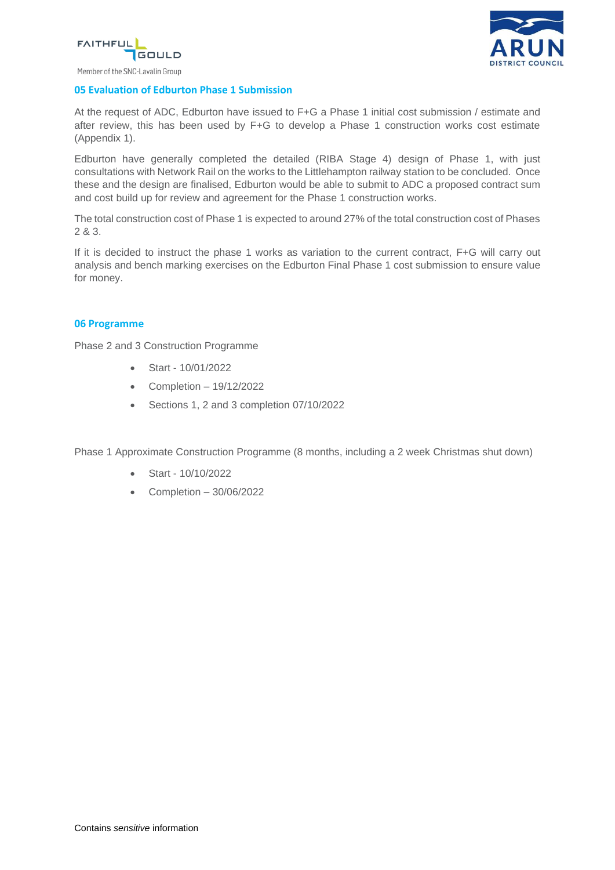



**05 Evaluation of Edburton Phase 1 Submission**

At the request of ADC, Edburton have issued to F+G a Phase 1 initial cost submission / estimate and after review, this has been used by F+G to develop a Phase 1 construction works cost estimate (Appendix 1).

Edburton have generally completed the detailed (RIBA Stage 4) design of Phase 1, with just consultations with Network Rail on the works to the Littlehampton railway station to be concluded. Once these and the design are finalised, Edburton would be able to submit to ADC a proposed contract sum and cost build up for review and agreement for the Phase 1 construction works.

The total construction cost of Phase 1 is expected to around 27% of the total construction cost of Phases 2 & 3.

If it is decided to instruct the phase 1 works as variation to the current contract, F+G will carry out analysis and bench marking exercises on the Edburton Final Phase 1 cost submission to ensure value for money.

#### **06 Programme**

Phase 2 and 3 Construction Programme

- Start 10/01/2022
- Completion 19/12/2022
- Sections 1, 2 and 3 completion 07/10/2022

Phase 1 Approximate Construction Programme (8 months, including a 2 week Christmas shut down)

- Start 10/10/2022
- Completion 30/06/2022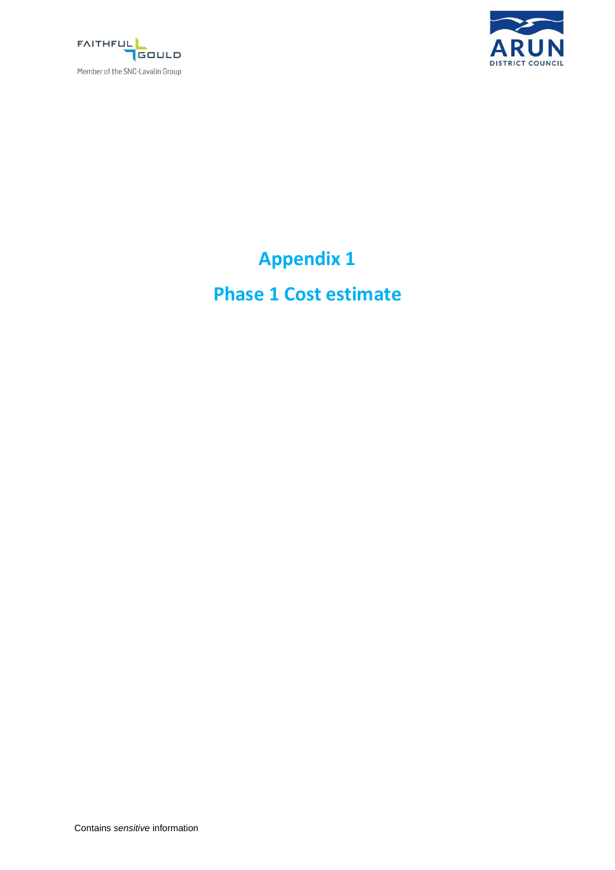



# **Appendix 1 Phase 1 Cost estimate**

Contains *sensitive* information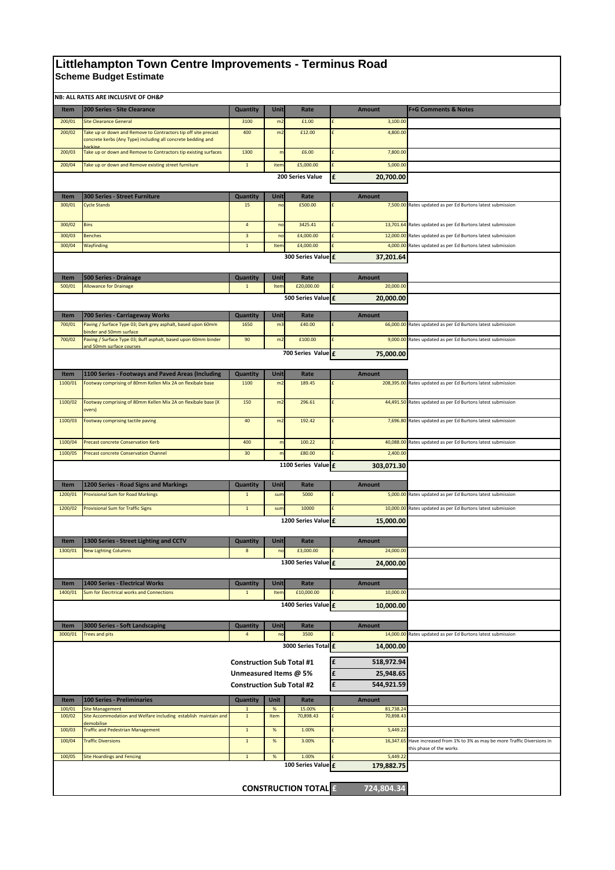#### **Littlehampton Town Centre Improvements - Terminus Road Scheme Budget Estimate**

|                                                | sonomo Baagot Eotmate                                                                                                          |                                  |                 |                                |                            |                                                                   |  |  |  |  |  |
|------------------------------------------------|--------------------------------------------------------------------------------------------------------------------------------|----------------------------------|-----------------|--------------------------------|----------------------------|-------------------------------------------------------------------|--|--|--|--|--|
| <b>NB: ALL RATES ARE INCLUSIVE OF OH&amp;P</b> |                                                                                                                                |                                  |                 |                                |                            |                                                                   |  |  |  |  |  |
| Item                                           | 200 Series - Site Clearance                                                                                                    | <b>Quantity</b>                  | Unit            | Rate                           | <b>Amount</b>              | <b>F+G Comments &amp; Notes</b>                                   |  |  |  |  |  |
| 200/01                                         | <b>Site Clearance General</b>                                                                                                  | 3100                             | m2              | £1.00                          | 3,100.00                   |                                                                   |  |  |  |  |  |
| 200/02                                         | Take up or down and Remove to Contractors tip off site precast<br>concrete kerbs (Any Type) including all concrete bedding and | 400                              | m2              | £12.00                         | 4,800.00                   |                                                                   |  |  |  |  |  |
| 200/03                                         | Take up or down and Remove to Contractors tip existing surfaces                                                                | 1300                             | $\mathsf{r}$    | £6.00                          | 7,800.00                   |                                                                   |  |  |  |  |  |
| 200/04                                         | Take up or down and Remove existing street furniture                                                                           | $1\,$                            | item            | £5,000.00                      | 5,000.00                   |                                                                   |  |  |  |  |  |
|                                                |                                                                                                                                | £<br>20,700.00                   |                 |                                |                            |                                                                   |  |  |  |  |  |
| Item                                           | 300 Series - Street Furniture                                                                                                  | <b>Amount</b>                    |                 |                                |                            |                                                                   |  |  |  |  |  |
| 300/01                                         | <b>Cycle Stands</b>                                                                                                            | Quantity<br>15                   | Unit<br>nc      | Rate<br>£500.00                | 7,500.00                   | Rates updated as per Ed Burtons latest submission                 |  |  |  |  |  |
| 300/02                                         | <b>Bins</b>                                                                                                                    | $\sqrt{4}$                       | no              | 3425.41                        |                            | 13,701.64 Rates updated as per Ed Burtons latest submission       |  |  |  |  |  |
| 300/03                                         | <b>Benches</b>                                                                                                                 | $\overline{\mathbf{3}}$          | nc              | £4,000.00                      |                            | 12,000.00 Rates updated as per Ed Burtons latest submission       |  |  |  |  |  |
| 300/04                                         | Wayfinding                                                                                                                     | $\mathbf 1$                      | Item            | £4,000.00                      |                            | 4,000.00 Rates updated as per Ed Burtons latest submission        |  |  |  |  |  |
|                                                |                                                                                                                                | 300 Series Value<br>37,201.64    |                 |                                |                            |                                                                   |  |  |  |  |  |
| Item                                           | <b>500 Series - Drainage</b>                                                                                                   | Quantity                         | Unit            | Rate                           | <b>Amount</b>              |                                                                   |  |  |  |  |  |
| 500/01                                         | <b>Allowance for Drainage</b>                                                                                                  | $\mathbf 1$                      | Item            | £20,000.00                     | 20,000.00                  |                                                                   |  |  |  |  |  |
|                                                |                                                                                                                                |                                  |                 | 500 Series Value £             | 20,000.00                  |                                                                   |  |  |  |  |  |
| Item                                           | 700 Series - Carriageway Works                                                                                                 | <b>Quantity</b>                  | Unit            | Rate                           | <b>Amount</b>              |                                                                   |  |  |  |  |  |
| 700/01                                         | Paving / Surface Type 03; Dark grey asphalt, based upon 60mm                                                                   | 1650                             | m <sub>3</sub>  | £40.00                         |                            | 66,000.00 Rates updated as per Ed Burtons latest submission       |  |  |  |  |  |
| 700/02                                         | binder and 50mm surface<br>Paving / Surface Type 03; Buff asphalt, based upon 60mm binder                                      | 90                               | m2              | £100.00                        |                            | 9,000.00 Rates updated as per Ed Burtons latest submission        |  |  |  |  |  |
|                                                | and 50mm surface courses                                                                                                       |                                  |                 |                                |                            |                                                                   |  |  |  |  |  |
|                                                |                                                                                                                                |                                  |                 | 700 Series Value £             | 75,000.00                  |                                                                   |  |  |  |  |  |
| Item                                           | 1100 Series - Footways and Paved Areas (Including                                                                              | Quantity                         | Unit            | Rate                           | <b>Amount</b>              |                                                                   |  |  |  |  |  |
| 1100/01                                        | Footway comprising of 80mm Kellen Mix 2A on flexibale base                                                                     | 1100                             | m <sub>2</sub>  | 189.45                         |                            | 208,395.00 Rates updated as per Ed Burtons latest submission      |  |  |  |  |  |
| 1100/02                                        | Footway comprising of 80mm Kellen Mix 2A on flexibale base (X                                                                  | 150                              | m <sub>2</sub>  | 296.61                         |                            | 44,491.50 Rates updated as per Ed Burtons latest submission       |  |  |  |  |  |
| 1100/03                                        | overs)                                                                                                                         | 40                               |                 | 192.42                         |                            |                                                                   |  |  |  |  |  |
|                                                | Footway comprising tactile paving                                                                                              |                                  | m2              |                                |                            | 7,696.80 Rates updated as per Ed Burtons latest submission        |  |  |  |  |  |
| 1100/04                                        | Precast concrete Conservation Kerb                                                                                             | 400                              | m               | 100.22                         | 40,088.00                  | Rates updated as per Ed Burtons latest submission                 |  |  |  |  |  |
| 1100/05                                        | <b>Precast concrete Conservation Channel</b>                                                                                   | 30                               | m               | £80.00                         | 2,400.00                   |                                                                   |  |  |  |  |  |
|                                                |                                                                                                                                |                                  |                 | 1100 Series Value              | 303,071.30                 |                                                                   |  |  |  |  |  |
| Item                                           | 1200 Series - Road Signs and Markings                                                                                          | Quantity                         | Unit            | Rate                           | <b>Amount</b>              |                                                                   |  |  |  |  |  |
| 1200/01                                        | <b>Provisional Sum for Road Markings</b>                                                                                       | $\mathbf 1$                      | sum             | 5000                           |                            | 5,000.00 Rates updated as per Ed Burtons latest submission        |  |  |  |  |  |
| 1200/02                                        | <b>Provisional Sum for Traffic Signs</b>                                                                                       | $\,$ 1                           | sum             | 10000                          | 10,000.00                  | Rates updated as per Ed Burtons latest submission                 |  |  |  |  |  |
|                                                |                                                                                                                                |                                  |                 | 1200 Series Value<br>15,000.00 |                            |                                                                   |  |  |  |  |  |
|                                                |                                                                                                                                |                                  |                 |                                |                            |                                                                   |  |  |  |  |  |
|                                                | Item   1300 Series - Street Lighting and CCTV                                                                                  | Quantity                         | Unit            | Rate                           | <b>Amount</b>              |                                                                   |  |  |  |  |  |
| 1300/01                                        | <b>New Lighting Columns</b>                                                                                                    | 8                                | no              | £3,000.00                      | 24,000.00                  |                                                                   |  |  |  |  |  |
|                                                |                                                                                                                                |                                  |                 | 1300 Series Value £            | 24,000.00                  |                                                                   |  |  |  |  |  |
| Item                                           | <b>1400 Series - Electrical Works</b>                                                                                          | <b>Quantity</b>                  | Unit            | Rate                           | <b>Amount</b>              |                                                                   |  |  |  |  |  |
| 1400/01                                        | Sum for Elecrtrical works and Connections                                                                                      | $\mathbf{1}$                     | Item            | £10,000.00                     | 10,000.00                  |                                                                   |  |  |  |  |  |
|                                                |                                                                                                                                |                                  |                 | 1400 Series Value              | 10,000.00                  |                                                                   |  |  |  |  |  |
|                                                |                                                                                                                                |                                  |                 |                                |                            |                                                                   |  |  |  |  |  |
| Item                                           | 3000 Series - Soft Landscaping                                                                                                 | <b>Quantity</b>                  | Unit            | Rate                           | <b>Amount</b>              |                                                                   |  |  |  |  |  |
| 3000/01                                        | <b>Trees and pits</b>                                                                                                          | $\sqrt{4}$                       | no              | 3500<br>3000 Series Total £    | 14,000.00                  | Rates updated as per Ed Burtons latest submission                 |  |  |  |  |  |
|                                                |                                                                                                                                |                                  | 14,000.00       |                                |                            |                                                                   |  |  |  |  |  |
|                                                |                                                                                                                                | <b>Construction Sub Total #1</b> | £<br>518,972.94 |                                |                            |                                                                   |  |  |  |  |  |
|                                                |                                                                                                                                | Unmeasured Items @ 5%            | £<br>25,948.65  |                                |                            |                                                                   |  |  |  |  |  |
|                                                |                                                                                                                                | <b>Construction Sub Total #2</b> |                 |                                | £<br>544,921.59            |                                                                   |  |  |  |  |  |
| Item<br>100/01                                 | 100 Series - Preliminaries<br>Site Management                                                                                  | <b>Quantity</b><br>$\mathbf 1$   | Unit<br>$\%$    | Rate<br>15.00%                 | <b>Amount</b><br>81,738.24 |                                                                   |  |  |  |  |  |
| 100/02                                         | Site Accommodation and Welfare including establish maintain and                                                                | $\mathbf 1$                      | Item            | 70,898.43                      | 70,898.43                  |                                                                   |  |  |  |  |  |
| 100/03                                         | demobilise<br><b>Traffic and Pedestrian Management</b>                                                                         | $\mathbf 1$                      | $\%$            | 1.00%                          | 5,449.22                   |                                                                   |  |  |  |  |  |
| 100/04                                         | <b>Traffic Diversions</b>                                                                                                      | $\,$ 1                           | $\%$            | 3.00%                          | 16,347.65                  | Have increased from 1% to 3% as may be more Traffic Diversions in |  |  |  |  |  |
| 100/05                                         | <b>Site Hoardings and Fencing</b>                                                                                              | $\overline{1}$                   | $\%$            | 1.00%                          | 5,449.22                   | this phase of the works                                           |  |  |  |  |  |
|                                                |                                                                                                                                |                                  |                 |                                |                            |                                                                   |  |  |  |  |  |
|                                                |                                                                                                                                |                                  |                 | 100 Series Value £             | 179,882.75                 |                                                                   |  |  |  |  |  |
|                                                |                                                                                                                                |                                  |                 |                                |                            |                                                                   |  |  |  |  |  |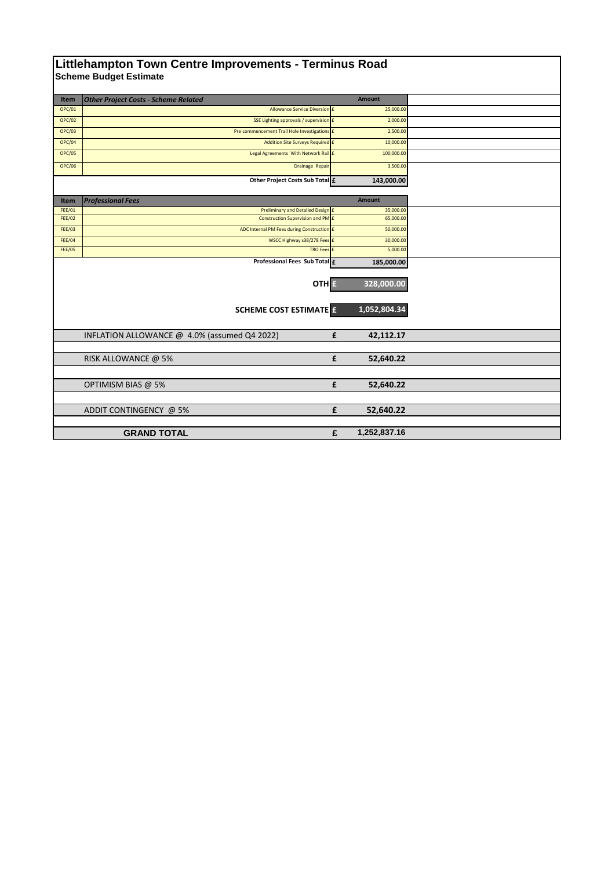|               | Littlehampton Town Centre Improvements - Terminus Road<br><b>Scheme Budget Estimate</b> |   |               |  |
|---------------|-----------------------------------------------------------------------------------------|---|---------------|--|
|               |                                                                                         |   |               |  |
| Item          | <b>Other Project Costs - Scheme Related</b>                                             |   | <b>Amount</b> |  |
| <b>OPC/01</b> | <b>Allowance Service Diversion E</b>                                                    |   | 25,000.00     |  |
| <b>OPC/02</b> | SSE Lighting approvals / supervision £                                                  |   | 2,000.00      |  |
| <b>OPC/03</b> | Pre commencement Trail Hole Investigations £                                            |   | 2,500.00      |  |
| <b>OPC/04</b> | Addition Site Surveys Required E                                                        |   | 10,000.00     |  |
| <b>OPC/05</b> | Legal Agreements With Network Rail £                                                    |   | 100,000.00    |  |
| <b>OPC/06</b> | Drainage Repair                                                                         |   | 3,500.00      |  |
|               | Other Project Costs Sub Total                                                           |   | 143,000.00    |  |
| Item          | <b>Professional Fees</b>                                                                |   | <b>Amount</b> |  |
| <b>FEE/01</b> | <b>Preliminary and Detailed Design</b>                                                  |   | 35,000.00     |  |
| <b>FEE/02</b> | Construction Supervision and PM £                                                       |   | 65,000.00     |  |
| <b>FEE/03</b> | ADC Internal PM Fees during Construction £                                              |   | 50,000.00     |  |
| <b>FEE/04</b> | WSCC Highway s38/278 Fees                                                               |   | 30,000.00     |  |
| <b>FEE/05</b> | <b>TRO Fees</b>                                                                         |   | 5,000.00      |  |
|               | Professional Fees Sub Total £                                                           |   | 185,000.00    |  |
|               |                                                                                         |   |               |  |
|               | OTH <sub>E</sub>                                                                        |   | 328,000.00    |  |
|               | <b>SCHEME COST ESTIMATEE</b>                                                            |   | 1,052,804.34  |  |
|               |                                                                                         |   |               |  |
|               | INFLATION ALLOWANCE @ 4.0% (assumed Q4 2022)                                            | £ | 42,112.17     |  |
|               |                                                                                         |   |               |  |
|               | RISK ALLOWANCE @ 5%                                                                     | £ | 52,640.22     |  |
|               |                                                                                         |   |               |  |
|               | OPTIMISM BIAS @ 5%                                                                      | £ | 52,640.22     |  |
|               |                                                                                         |   |               |  |
|               | ADDIT CONTINGENCY @ 5%                                                                  | £ | 52,640.22     |  |
|               |                                                                                         |   |               |  |
|               | <b>GRAND TOTAL</b>                                                                      | £ | 1,252,837.16  |  |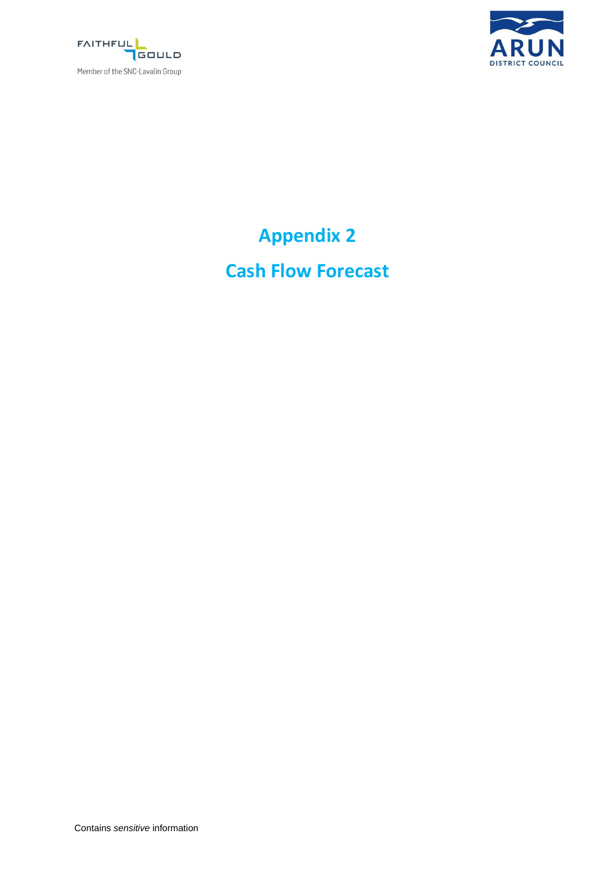



**Appendix 2**

## **Cash Flow Forecast**

Contains *sensitive* information